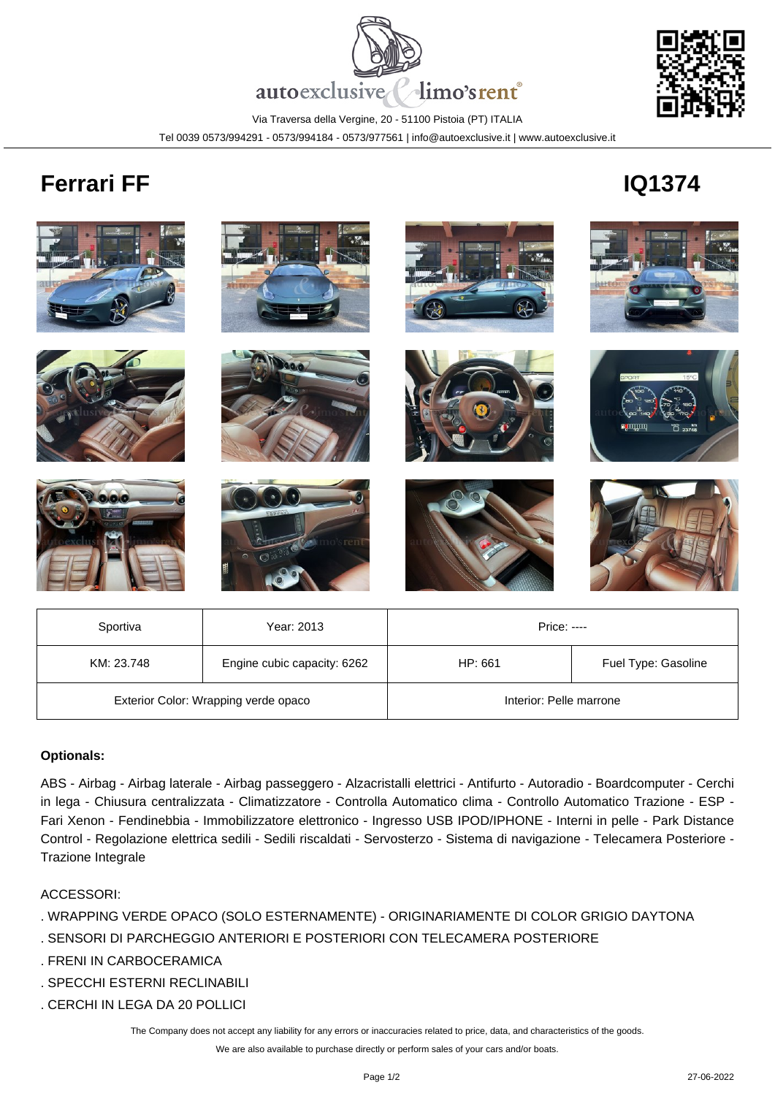

Via Traversa della Vergine, 20 - 51100 Pistoia (PT) ITALIA

Tel 0039 0573/994291 - 0573/994184 - 0573/977561 | info@autoexclusive.it | www.autoexclusive.it

## **Ferrari FF IQ1374**



| Sportiva                             | Year: 2013                  | <b>Price: ----</b>      |                     |
|--------------------------------------|-----------------------------|-------------------------|---------------------|
| KM: 23.748                           | Engine cubic capacity: 6262 | HP: 661                 | Fuel Type: Gasoline |
| Exterior Color: Wrapping verde opaco |                             | Interior: Pelle marrone |                     |

## **Optionals:**

ABS - Airbag - Airbag laterale - Airbag passeggero - Alzacristalli elettrici - Antifurto - Autoradio - Boardcomputer - Cerchi in lega - Chiusura centralizzata - Climatizzatore - Controlla Automatico clima - Controllo Automatico Trazione - ESP - Fari Xenon - Fendinebbia - Immobilizzatore elettronico - Ingresso USB IPOD/IPHONE - Interni in pelle - Park Distance Control - Regolazione elettrica sedili - Sedili riscaldati - Servosterzo - Sistema di navigazione - Telecamera Posteriore - Trazione Integrale

## ACCESSORI:

- . WRAPPING VERDE OPACO (SOLO ESTERNAMENTE) ORIGINARIAMENTE DI COLOR GRIGIO DAYTONA
- . SENSORI DI PARCHEGGIO ANTERIORI E POSTERIORI CON TELECAMERA POSTERIORE
- . FRENI IN CARBOCERAMICA
- . SPECCHI ESTERNI RECLINABILI
- . CERCHI IN LEGA DA 20 POLLICI

The Company does not accept any liability for any errors or inaccuracies related to price, data, and characteristics of the goods.

We are also available to purchase directly or perform sales of your cars and/or boats.